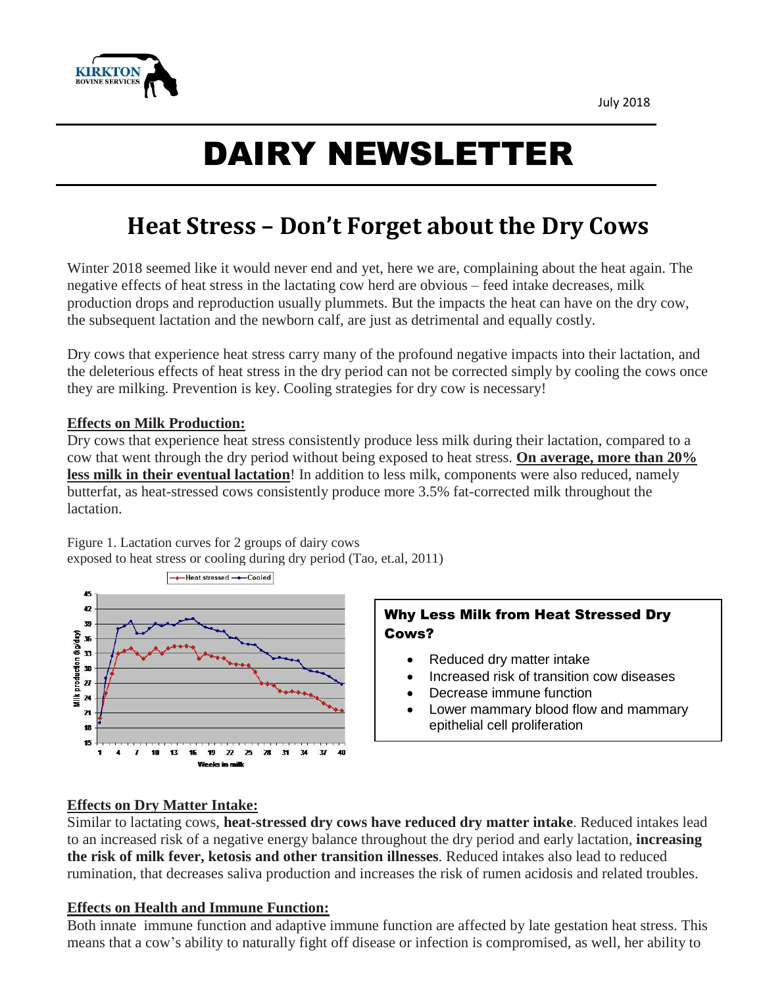

# DAIRY NEWSLETTER

# **Heat Stress – Don't Forget about the Dry Cows**

Winter 2018 seemed like it would never end and yet, here we are, complaining about the heat again. The negative effects of heat stress in the lactating cow herd are obvious – feed intake decreases, milk production drops and reproduction usually plummets. But the impacts the heat can have on the dry cow, the subsequent lactation and the newborn calf, are just as detrimental and equally costly.

Dry cows that experience heat stress carry many of the profound negative impacts into their lactation, and the deleterious effects of heat stress in the dry period can not be corrected simply by cooling the cows once they are milking. Prevention is key. Cooling strategies for dry cow is necessary!

#### **Effects on Milk Production:**

Dry cows that experience heat stress consistently produce less milk during their lactation, compared to a cow that went through the dry period without being exposed to heat stress. **On average, more than 20% less milk in their eventual lactation**! In addition to less milk, components were also reduced, namely butterfat, as heat-stressed cows consistently produce more 3.5% fat-corrected milk throughout the lactation.



Figure 1. Lactation curves for 2 groups of dairy cows exposed to heat stress or cooling during dry period (Tao, et.al, 2011)

## Why Less Milk from Heat Stressed Dry Cows?

- Reduced dry matter intake
- Increased risk of transition cow diseases
- Decrease immune function
- Lower mammary blood flow and mammary epithelial cell proliferation

#### **Effects on Dry Matter Intake:**

Similar to lactating cows, **heat-stressed dry cows have reduced dry matter intake**. Reduced intakes lead to an increased risk of a negative energy balance throughout the dry period and early lactation, **increasing the risk of milk fever, ketosis and other transition illnesses**. Reduced intakes also lead to reduced rumination, that decreases saliva production and increases the risk of rumen acidosis and related troubles.

#### **Effects on Health and Immune Function:**

Both innate immune function and adaptive immune function are affected by late gestation heat stress. This means that a cow's ability to naturally fight off disease or infection is compromised, as well, her ability to